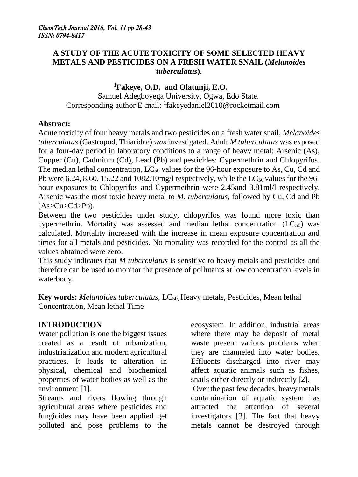#### **A STUDY OF THE ACUTE TOXICITY OF SOME SELECTED HEAVY METALS AND PESTICIDES ON A FRESH WATER SNAIL (***Melanoides tuberculatus***).**

## **<sup>1</sup>Fakeye, O.D. and Olatunji, E.O.**

 Samuel Adegboyega University, Ogwa, Edo State. Corresponding author E-mail: <sup>1</sup>fakeyedaniel2010@rocketmail.com

#### **Abstract:**

Acute toxicity of four heavy metals and two pesticides on a fresh water snail, *Melanoides tuberculatus* (Gastropod, Thiaridae) *was* investigated. Adult *M tuberculatus* was exposed for a four-day period in laboratory conditions to a range of heavy metal: Arsenic (As), Copper (Cu), Cadmium (Cd), Lead (Pb) and pesticides: Cypermethrin and Chlopyrifos. The median lethal concentration,  $LC_{50}$  values for the 96-hour exposure to As, Cu, Cd and Pb were 6.24, 8.60, 15.22 and 1082.10mg/l respectively, while the  $LC_{50}$  values for the 96hour exposures to Chlopyrifos and Cypermethrin were 2.45and 3.81ml/l respectively. Arsenic was the most toxic heavy metal to *M. tuberculatus*, followed by Cu, Cd and Pb  $(As>Cu>Cd>Pb)$ .

Between the two pesticides under study, chlopyrifos was found more toxic than cypermethrin. Mortality was assessed and median lethal concentration  $(LC_{50})$  was calculated. Mortality increased with the increase in mean exposure concentration and times for all metals and pesticides. No mortality was recorded for the control as all the values obtained were zero.

This study indicates that *M tuberculatus* is sensitive to heavy metals and pesticides and therefore can be used to monitor the presence of pollutants at low concentration levels in waterbody.

**Key words:** *Melanoides tuberculatus*, LC<sub>50</sub>, Heavy metals, Pesticides, Mean lethal Concentration, Mean lethal Time

# **INTRODUCTION**

Water pollution is one the biggest issues created as a result of urbanization, industrialization and modern agricultural practices. It leads to alteration in physical, chemical and biochemical properties of water bodies as well as the environment [1].

Streams and rivers flowing through agricultural areas where pesticides and fungicides may have been applied get polluted and pose problems to the ecosystem. In addition, industrial areas where there may be deposit of metal waste present various problems when they are channeled into water bodies. Effluents discharged into river may affect aquatic animals such as fishes, snails either directly or indirectly [2].

Over the past few decades, heavy metals contamination of aquatic system has attracted the attention of several investigators [3]. The fact that heavy metals cannot be destroyed through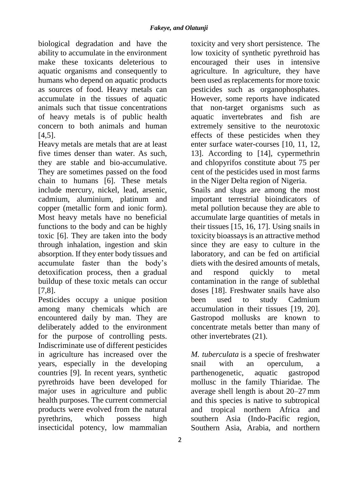biological degradation and have the ability to accumulate in the environment make these toxicants deleterious to aquatic organisms and consequently to humans who depend on aquatic products as sources of food. Heavy metals can accumulate in the tissues of aquatic animals such that tissue concentrations of heavy metals is of public health concern to both animals and human  $[4.5]$ .

Heavy metals are metals that are at least five times denser than water. As such, they are stable and bio-accumulative. They are sometimes passed on the food chain to humans [6]. These metals include mercury, nickel, lead, arsenic, cadmium, aluminium, platinum and copper (metallic form and ionic form). Most heavy metals have no beneficial functions to the body and can be highly toxic [6]. They are taken into the body through inhalation, ingestion and skin absorption. If they enter body tissues and accumulate faster than the body's detoxification process, then a gradual buildup of these toxic metals can occur [7,8].

Pesticides occupy a unique position among many chemicals which are encountered daily by man. They are deliberately added to the environment for the purpose of controlling pests. Indiscriminate use of different pesticides in agriculture has increased over the years, especially in the developing countries [9]. In recent years, synthetic pyrethroids have been developed for major uses in agriculture and public health purposes. The current commercial products were evolved from the natural pyrethrins, which possess high insecticidal potency, low mammalian

agriculture. In agriculture, they have been used as replacements for more toxic pesticides such as organophosphates. However, some reports have indicated that non-target organisms such as aquatic invertebrates and fish are extremely sensitive to the neurotoxic effects of these pesticides when they enter surface water-courses [10, 11, 12, 13]. According to [14], cypermethrin and chlopyrifos constitute about 75 per cent of the pesticides used in most farms in the Niger Delta region of Nigeria. Snails and slugs are among the most important terrestrial bioindicators of metal pollution because they are able to accumulate large quantities of metals in their tissues [15, 16, 17]. Using snails in toxicity bioassays is an attractive method since they are easy to culture in the laboratory, and can be fed on artificial diets with the desired amounts of metals, and respond quickly to metal contamination in the range of sublethal doses [18]. Freshwater snails have also been used to study Cadmium

toxicity and very short persistence. The low toxicity of synthetic pyrethroid has encouraged their uses in intensive

accumulation in their tissues [19, 20]. Gastropod mollusks are known to concentrate metals better than many of other invertebrates (21).

*M. tuberculata* is a specie of freshwater snail with an operculum, parthenogenetic, aquatic gastropod mollusc in the family Thiaridae. The average shell length is about 20–27 mm and this species is native to subtropical and tropical northern Africa and southern Asia (Indo-Pacific region, Southern Asia, Arabia, and northern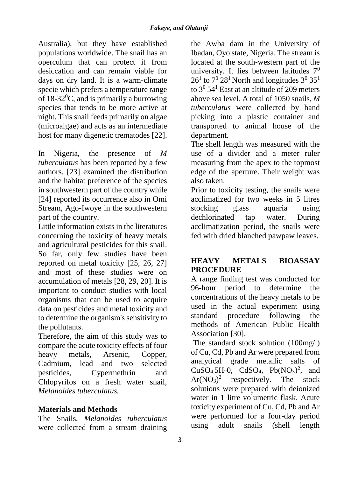Australia), but they have established populations worldwide. The snail has an operculum that can protect it from desiccation and can remain viable for days on dry land. It is a warm-climate specie which prefers a temperature range of 18-32<sup>0</sup>C, and is primarily a burrowing species that tends to be more active at night. This snail feeds primarily on algae (microalgae) and acts as an intermediate host for many digenetic trematodes [22].

In Nigeria, the presence of *M tuberculatus* has been reported by a few authors. [23] examined the distribution and the habitat preference of the species in southwestern part of the country while [24] reported its occurrence also in Omi Stream, Ago-Iwoye in the southwestern part of the country.

Little information exists in the literatures concerning the toxicity of heavy metals and agricultural pesticides for this snail. So far, only few studies have been reported on metal toxicity [25, 26, 27] and most of these studies were on accumulation of metals [28, 29, 20]. It is important to conduct studies with local organisms that can be used to acquire data on pesticides and metal toxicity and to determine the organism's sensitivity to the pollutants.

Therefore, the aim of this study was to compare the acute toxicity effects of four heavy metals, Arsenic, Copper, Cadmium, lead and two selected pesticides, Cypermethrin and Chlopyrifos on a fresh water snail, *Melanoides tuberculatus.*

## **Materials and Methods**

The Snails, *Melanoides tuberculatus* were collected from a stream draining

the Awba dam in the University of Ibadan, Oyo state, Nigeria. The stream is located at the south-western part of the university. It lies between latitudes  $7<sup>0</sup>$  $26<sup>1</sup>$  to  $7<sup>0</sup> 28<sup>1</sup>$  North and longitudes  $3<sup>0</sup> 35<sup>1</sup>$ to  $3^0$  54<sup>1</sup> East at an altitude of 209 meters above sea level. A total of 1050 snails, *M tuberculatus* were collected by hand picking into a plastic container and transported to animal house of the department.

The shell length was measured with the use of a divider and a meter ruler measuring from the apex to the topmost edge of the aperture. Their weight was also taken.

Prior to toxicity testing, the snails were acclimatized for two weeks in 5 litres stocking glass aquaria using dechlorinated tap water. During acclimatization period, the snails were fed with dried blanched pawpaw leaves.

# **HEAVY METALS BIOASSAY PROCEDURE**

A range finding test was conducted for 96-hour period to determine the concentrations of the heavy metals to be used in the actual experiment using standard procedure following the methods of American Public Health Association [30].

The standard stock solution (100mg/l) of Cu, Cd, Pb and Ar were prepared from analytical grade metallic salts of  $CuSO<sub>4</sub>5H<sub>2</sub>O$ ,  $CdSO<sub>4</sub>$ ,  $Pb(NO<sub>3</sub>)<sup>2</sup>$ , and  $Ar(NO<sub>3</sub>)<sup>2</sup>$ respectively. The stock solutions were prepared with deionized water in 1 litre volumetric flask. Acute toxicity experiment of Cu, Cd, Pb and Ar were performed for a four-day period using adult snails (shell length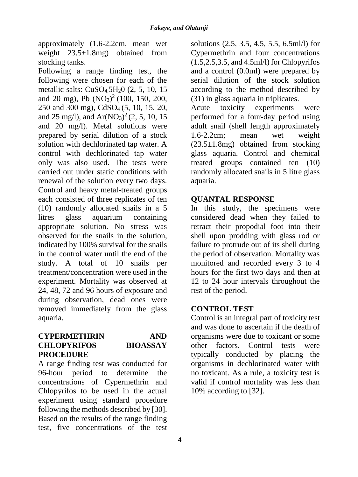approximately (1.6-2.2cm, mean wet weight  $23.5 \pm 1.8$ mg) obtained from stocking tanks.

Following a range finding test, the following were chosen for each of the metallic salts: CuSO<sub>4.</sub>5H<sub>2</sub>O (2, 5, 10, 15) and 20 mg), Pb  $(NO<sub>3</sub>)<sup>2</sup>$  (100, 150, 200, 250 and 300 mg), CdSO4 (5, 10, 15, 20, and 25 mg/l), and  $Ar(NO<sub>3</sub>)<sup>2</sup>$  (2, 5, 10, 15 and 20 mg/l). Metal solutions were prepared by serial dilution of a stock solution with dechlorinated tap water. A control with dechlorinated tap water only was also used. The tests were carried out under static conditions with renewal of the solution every two days. Control and heavy metal-treated groups each consisted of three replicates of ten (10) randomly allocated snails in a 5 litres glass aquarium containing appropriate solution. No stress was observed for the snails in the solution, indicated by 100% survival for the snails in the control water until the end of the study. A total of 10 snails per treatment/concentration were used in the experiment. Mortality was observed at 24, 48, 72 and 96 hours of exposure and during observation, dead ones were removed immediately from the glass aquaria.

#### **CYPERMETHRIN AND CHLOPYRIFOS BIOASSAY PROCEDURE**

A range finding test was conducted for 96-hour period to determine the concentrations of Cypermethrin and Chlopyrifos to be used in the actual experiment using standard procedure following the methods described by [30]. Based on the results of the range finding test, five concentrations of the test

solutions (2.5, 3.5, 4.5, 5.5, 6.5ml/l) for Cypermethrin and four concentrations (1.5,2.5,3.5, and 4.5ml/l) for Chlopyrifos and a control (0.0ml) were prepared by serial dilution of the stock solution according to the method described by (31) in glass aquaria in triplicates.

Acute toxicity experiments were performed for a four-day period using adult snail (shell length approximately 1.6-2.2cm; mean wet weight  $(23.5\pm1.8\text{mg})$  obtained from stocking glass aquaria. Control and chemical treated groups contained ten (10) randomly allocated snails in 5 litre glass aquaria.

# **QUANTAL RESPONSE**

In this study, the specimens were considered dead when they failed to retract their propodial foot into their shell upon prodding with glass rod or failure to protrude out of its shell during the period of observation. Mortality was monitored and recorded every 3 to 4 hours for the first two days and then at 12 to 24 hour intervals throughout the rest of the period.

## **CONTROL TEST**

Control is an integral part of toxicity test and was done to ascertain if the death of organisms were due to toxicant or some other factors. Control tests were typically conducted by placing the organisms in dechlorinated water with no toxicant. As a rule, a toxicity test is valid if control mortality was less than 10% according to [32].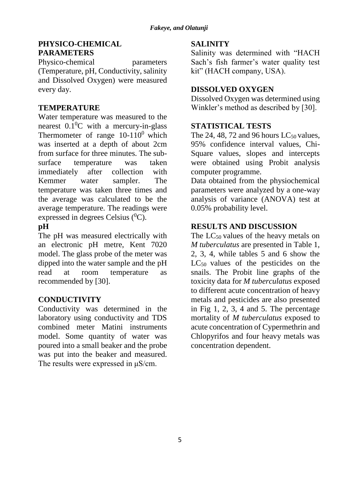#### **PHYSICO-CHEMICAL PARAMETERS**

Physico-chemical parameters (Temperature, pH, Conductivity, salinity and Dissolved Oxygen) were measured every day.

## **TEMPERATURE**

Water temperature was measured to the nearest  $0.1^{0}$ C with a mercury-in-glass Thermometer of range  $10-110^0$  which was inserted at a depth of about 2cm from surface for three minutes. The subsurface temperature was taken immediately after collection with Kemmer water sampler. The temperature was taken three times and the average was calculated to be the average temperature. The readings were expressed in degrees Celsius  $(^{0}C)$ .

# **pH**

The pH was measured electrically with an electronic pH metre, Kent 7020 model. The glass probe of the meter was dipped into the water sample and the pH read at room temperature as recommended by [30].

## **CONDUCTIVITY**

Conductivity was determined in the laboratory using conductivity and TDS combined meter Matini instruments model. Some quantity of water was poured into a small beaker and the probe was put into the beaker and measured. The results were expressed in μS/cm.

## **SALINITY**

Salinity was determined with "HACH Sach's fish farmer's water quality test kit" (HACH company, USA).

# **DISSOLVED OXYGEN**

Dissolved Oxygen was determined using Winkler's method as described by [30].

## **STATISTICAL TESTS**

The 24, 48, 72 and 96 hours  $LC_{50}$  values, 95% confidence interval values, Chi-Square values, slopes and intercepts were obtained using Probit analysis computer programme.

Data obtained from the physiochemical parameters were analyzed by a one-way analysis of variance (ANOVA) test at 0.05% probability level.

# **RESULTS AND DISCUSSION**

The  $LC_{50}$  values of the heavy metals on *M tuberculatus* are presented in Table 1, 2, 3, 4, while tables 5 and 6 show the  $LC_{50}$  values of the pesticides on the snails. The Probit line graphs of the toxicity data for *M tuberculatus* exposed to different acute concentration of heavy metals and pesticides are also presented in Fig 1, 2, 3, 4 and 5. The percentage mortality of *M tuberculatus* exposed to acute concentration of Cypermethrin and Chlopyrifos and four heavy metals was concentration dependent.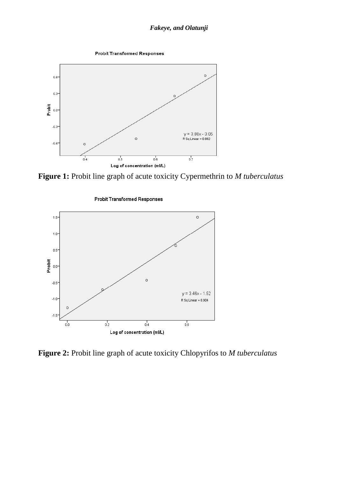



**Figure 1:** Probit line graph of acute toxicity Cypermethrin to *M tuberculatus*



**Probit Transformed Responses** 

**Figure 2:** Probit line graph of acute toxicity Chlopyrifos to *M tuberculatus*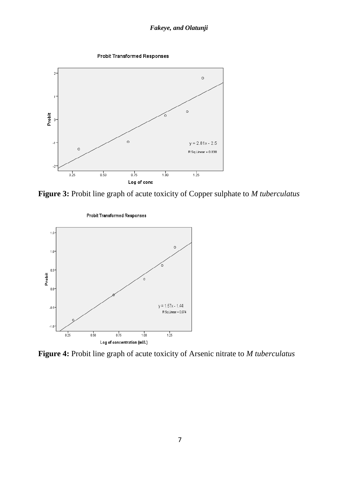



**Figure 3:** Probit line graph of acute toxicity of Copper sulphate to *M tuberculatus*



**Figure 4:** Probit line graph of acute toxicity of Arsenic nitrate to *M tuberculatus*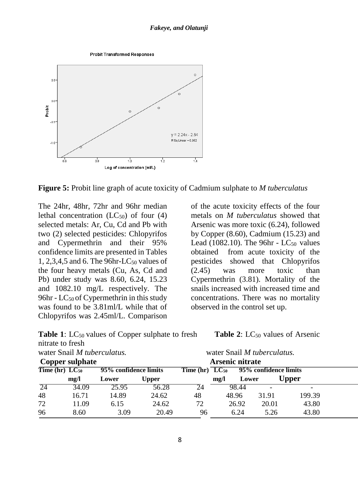



**Figure 5:** Probit line graph of acute toxicity of Cadmium sulphate to *M tuberculatus*

The 24hr, 48hr, 72hr and 96hr median lethal concentration  $(LC_{50})$  of four  $(4)$ selected metals: Ar, Cu, Cd and Pb with two (2) selected pesticides: Chlopyrifos and Cypermethrin and their 95% confidence limits are presented in Tables 1, 2,3,4,5 and 6. The 96hr-LC $_{50}$  values of the four heavy metals (Cu, As, Cd and Pb) under study was 8.60, 6.24, 15.23 and 1082.10 mg/L respectively. The 96hr -  $LC_{50}$  of Cypermethrin in this study was found to be 3.81ml/L while that of Chlopyrifos was 2.45ml/L. Comparison

|                  | <b>Table 1:</b> LC <sub>50</sub> values of Copper sulphate to fresh |  |
|------------------|---------------------------------------------------------------------|--|
| nitrate to fresh |                                                                     |  |

of the acute toxicity effects of the four metals on *M tuberculatus* showed that Arsenic was more toxic (6.24), followed by Copper (8.60), Cadmium (15.23) and Lead (1082.10). The 96hr -  $LC_{50}$  values obtained from acute toxicity of the pesticides showed that Chlopyrifos (2.45) was more toxic than Cypermethrin (3.81). Mortality of the snails increased with increased time and concentrations. There was no mortality observed in the control set up.

**Table 2:** LC<sub>50</sub> values of Arsenic

| water Snail M tuberculatus.  |       |                       |              |                     | water Snail M tuberculatus. |       |                       |              |  |
|------------------------------|-------|-----------------------|--------------|---------------------|-----------------------------|-------|-----------------------|--------------|--|
| Copper sulphate              |       |                       |              |                     | Arsenic nitrate             |       |                       |              |  |
| Time $(hr)$ LC <sub>50</sub> |       | 95% confidence limits |              | $Time (hr) LC_{50}$ |                             |       | 95% confidence limits |              |  |
|                              | mg/l  | Lower                 | <b>Upper</b> |                     | mg/l                        | Lower |                       | <b>Upper</b> |  |
| -24                          | 34.09 | 25.95                 | 56.28        | 24                  |                             | 98.44 |                       |              |  |
| 48                           | 16.71 | 14.89                 | 24.62        | 48                  | 48.96                       |       | 31.91                 | 199.39       |  |
| 72                           | 11.09 | 6.15                  | 24.62        | 72                  | 26.92                       |       | 20.01                 | 43.80        |  |
| 96                           | 8.60  | 3.09                  | 20.49        | 96                  |                             | 6.24  | 5.26                  | 43.80        |  |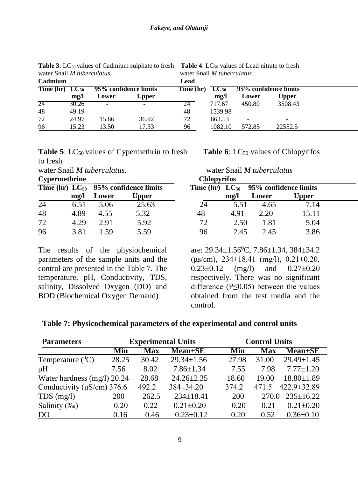| water shah <i>in ulberchitums</i> . |       |                       |          |           | water Shah <i>in thoef</i> c <i>hilling</i> |        |                          |  |  |  |
|-------------------------------------|-------|-----------------------|----------|-----------|---------------------------------------------|--------|--------------------------|--|--|--|
| Cadmium                             |       |                       |          | Lead      |                                             |        |                          |  |  |  |
| $Time (hr) LC_{50}$                 |       | 95% confidence limits |          | Time (hr) | $TC_{50}$                                   |        | 95% confidence limits    |  |  |  |
|                                     | mg/l  | Lower                 | $J$ pper |           | $m\Omega$                                   | Lower  | <b>Upper</b>             |  |  |  |
| 24                                  | 30.26 | -                     |          | 24        | 717.67                                      | 450.80 | 3508.43                  |  |  |  |
| 48                                  | 49.19 | -                     |          | 48        | 1539.98                                     | -      | $\overline{\phantom{a}}$ |  |  |  |
| 72                                  | 24.97 | 15.86                 | 36.92    | 72        | 663.53                                      |        |                          |  |  |  |
| 96                                  | 15.23 | 13.50                 | 17.33    | 96        | 1082.10                                     | 572.85 | 22552.5                  |  |  |  |

**Table 3**: LC<sub>50</sub> values of Cadmium sulphate to fresh **Table 4**: LC<sub>50</sub> values of Lead nitrate to fresh water Snail *M* tuberculatus water Snail *M tuberculatus.* water Snail *M tuberculatus*

#### **Table 5**: LC<sub>50</sub> values of Cypermethrin to fresh **Table 6**: LC<sub>50</sub> values of Chlopyrifos to fresh

**Cypermethrine** 

|                 |           |       | Time (hr) $LC_{50}$ 95% confidence limits |    |           | Time (hr) $LC_{50}$ 95% confidence limits |              |
|-----------------|-----------|-------|-------------------------------------------|----|-----------|-------------------------------------------|--------------|
|                 | $m\Omega$ | Lower | Upper                                     |    | $m\Omega$ | Lower                                     | <b>Upper</b> |
| $\overline{24}$ | 6.51      | 5.06  | 25.63                                     | 24 | 5.51      | 4.65                                      | 7.14         |
| 48              | 4.89      | 4.55  | 5.32                                      | 48 | 4.91      | 2.20                                      | 15.11        |
| 72              | 4.29      | 2.91  | 5.92                                      | 72 | 2.50      | 1.81                                      | 5.04         |
| 96              | 3.81      | 159   | 5.59                                      | 96 | 2.45      | 2.45                                      | 3.86         |

The results of the physiochemical parameters of the sample units and the control are presented in the Table 7. The temperature, pH, Conductivity, TDS, salinity, Dissolved Oxygen (DO) and BOD (Biochemical Oxygen Demand)

water Snail *M tuberculatus.* water Snail *M tuberculatus*

| <b>Chlopyrifos</b>         |      |       |                       |  |  |  |  |  |  |
|----------------------------|------|-------|-----------------------|--|--|--|--|--|--|
| <b>Time (hr)</b> $LC_{50}$ |      |       | 95% confidence limits |  |  |  |  |  |  |
|                            | mg/l | Lower | <b>Upper</b>          |  |  |  |  |  |  |
| 24                         | 5.51 | 4.65  | 7.14                  |  |  |  |  |  |  |
| 48                         | 4.91 | 2.20  | 15.11                 |  |  |  |  |  |  |
| 72                         | 2.50 | 1.81  | 5.04                  |  |  |  |  |  |  |
|                            | 2.45 | 2.45  | 3.86                  |  |  |  |  |  |  |

are:  $29.34 \pm 1.56^{\circ}$ C,  $7.86 \pm 1.34$ ,  $384 \pm 34.2$ ( $\mu s/cm$ ), 234 $\pm$ 18.41 (mg/l), 0.21 $\pm$ 0.20,  $0.23 \pm 0.12$  (mg/l) and  $0.27 \pm 0.20$ respectively. There was no significant difference ( $P \le 0.05$ ) between the values obtained from the test media and the control.

#### **Table 7: Physicochemical parameters of the experimental and control units**

| <b>Parameters</b>                |       | <b>Experimental Units</b> |                             |       | <b>Control Units</b> |                             |  |  |
|----------------------------------|-------|---------------------------|-----------------------------|-------|----------------------|-----------------------------|--|--|
|                                  | Min   | <b>Max</b>                | <b>Mean</b> <sup>±</sup> SE | Min   | <b>Max</b>           | <b>Mean</b> <sup>t</sup> SE |  |  |
| Temperature $(^0C)$              | 28.25 | 30.42                     | $29.34 \pm 1.56$            | 27.98 | 31.00                | $29.49 \pm 1.45$            |  |  |
| pH                               | 7.56  | 8.02                      | $7.86 \pm 1.34$             | 7.55  | 7.98                 | $7.77 \pm 1.20$             |  |  |
| Water hardness (mg/l) 20.24      |       | 28.68                     | $24.26 \pm 2.35$            | 18.60 | 19.00                | $18.80 \pm 1.89$            |  |  |
| Conductivity ( $\mu$ S/cm) 376.6 |       | 492.2                     | $384 \pm 34.20$             | 374.2 | 471.5                | 422.9±32.89                 |  |  |
| $TDS$ (mg/l)                     | 200   | 262.5                     | $234 \pm 18.41$             | 200   | 270.0                | $235 \pm 16.22$             |  |  |
| Salinity (‰)                     | 0.20  | 0.22                      | $0.21 \pm 0.20$             | 0.20  | 0.21                 | $0.21 \pm 0.20$             |  |  |
| D <sub>O</sub>                   | 0.16  | 0.46                      | $0.23 \pm 0.12$             | 0.20  | 0.52                 | $0.36 \pm 0.10$             |  |  |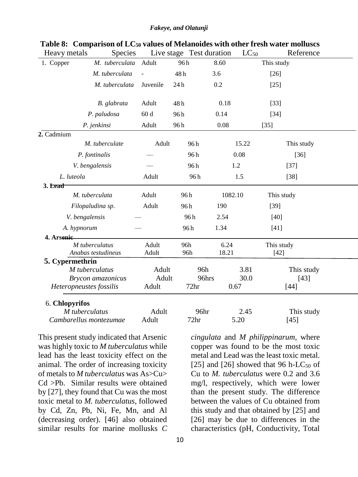| Heavy metals    | <b>Species</b>          |          |     | Live stage Test duration |               | $LC_{50}$ |            | Reference  |
|-----------------|-------------------------|----------|-----|--------------------------|---------------|-----------|------------|------------|
| 1. Copper       | M. tuberculata          | Adult    | 96h |                          | 8.60          |           | This study |            |
|                 | M. tuberculata          |          | 48h |                          | 3.6           |           | $[26]$     |            |
|                 | M. tuberculata          | Juvenile | 24h |                          | 0.2           |           | $[25]$     |            |
|                 |                         |          |     |                          |               |           |            |            |
|                 | B. glabrata             | Adult    | 48h |                          | 0.18          |           | $[33]$     |            |
|                 | P. paludosa             | 60d      | 96h |                          | 0.14          |           | $[34]$     |            |
|                 | P. jenkinsi             | Adult    | 96h |                          | 0.08          |           | $[35]$     |            |
| 2. Cadmium      |                         |          |     |                          |               |           |            |            |
|                 | M. tuberculate          | Adult    |     | 96h                      |               | 15.22     |            | This study |
|                 | P. fontinalis           |          |     | 96h                      |               | 0.08      |            | $[36]$     |
|                 | V. bengalensis          |          |     | 96h                      | 1.2           |           |            | $[37]$     |
| L. luteola      |                         | Adult    |     | 96h                      | 1.5           |           |            | $[38]$     |
| 3. Lead         |                         |          |     |                          |               |           |            |            |
|                 | M. tuberculata          | Adult    |     | 96h                      | 1082.10       |           | This study |            |
|                 | Filopaludina sp.        | Adult    |     | 96 h                     | 190           |           | $[39]$     |            |
|                 | V. bengalensis          |          |     | 96h                      | 2.54          |           | $[40]$     |            |
|                 | A. hypnorum             |          |     | 96h                      | 1.34          |           | $[41]$     |            |
| 4. Arsenic      |                         |          |     |                          |               |           |            |            |
|                 | M tuberculatus          | Adult    |     | 96h<br>96h               | 6.24<br>18.21 |           | This study |            |
| 5. Cypermethrin | Anabas testudineus      | Adult    |     |                          |               |           | $[42]$     |            |
|                 | M tuberculatus          | Adult    |     | 96h                      |               | 3.81      |            | This study |
|                 | Brycon amazonicus       | Adult    |     | 96hrs                    |               | 30.0      |            | $[43]$     |
|                 | Heteropneustes fossilis | Adult    |     | 72 <sub>hr</sub>         | 0.67          |           |            | $[44]$     |
| 6. Chlopyrifos  |                         |          |     |                          |               |           |            |            |
|                 | M tuberculatus          | Adult    |     | 96hr                     |               | 2.45      |            | This study |
|                 | Cambarellus montezumae  | Adult    |     | 72hr                     |               | 5.20      |            | $[45]$     |

**Table 8: Comparison of LC<sup>50</sup> values of Melanoides with other fresh water molluscs**

This present study indicated that Arsenic was highly toxic to *M tuberculatus* while lead has the least toxicity effect on the animal. The order of increasing toxicity of metals to *M tuberculatus* was As>Cu> Cd >Pb. Similar results were obtained by [27], they found that Cu was the most toxic metal to *M. tuberculatus*, followed by Cd, Zn, Pb, Ni, Fe, Mn, and Al (decreasing order). [46] also obtained similar results for marine mollusks *C* 

*cingulata* and *M philippinarum,* where copper was found to be the most toxic metal and Lead was the least toxic metal. [25] and [26] showed that 96 h-LC<sub>50</sub> of Cu to *M. tuberculatus* were 0.2 and 3.6 mg/l, respectively, which were lower than the present study. The difference between the values of Cu obtained from this study and that obtained by [25] and [26] may be due to differences in the characteristics (pH, Conductivity, Total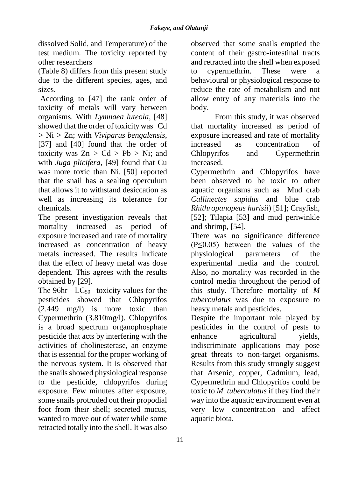dissolved Solid, and Temperature) of the test medium. The toxicity reported by other researchers

(Table 8) differs from this present study due to the different species, ages, and sizes.

According to [47] the rank order of toxicity of metals will vary between organisms. With *Lymnaea luteola*, [48] showed that the order of toxicity was Cd *>* Ni *>* Zn; with *Viviparus bengalensis*, [37] and [40] found that the order of toxicity was  $Zn > Cd > Pb > Ni$ ; and with *Juga plicifera*, [49] found that Cu was more toxic than Ni. [50] reported that the snail has a sealing operculum that allows it to withstand desiccation as well as increasing its tolerance for chemicals.

The present investigation reveals that mortality increased as period of exposure increased and rate of mortality increased as concentration of heavy metals increased. The results indicate that the effect of heavy metal was dose dependent. This agrees with the results obtained by [29].

The  $96hr - LC_{50}$  toxicity values for the pesticides showed that Chlopyrifos (2.449 mg/l) is more toxic than Cypermethrin (3.810mg/l). Chlopyrifos is a broad spectrum organophosphate pesticide that acts by interfering with the activities of cholinesterase, an enzyme that is essential for the proper working of the nervous system. It is observed that the snails showed physiological response to the pesticide, chlopyrifos during exposure. Few minutes after exposure, some snails protruded out their propodial foot from their shell; secreted mucus, wanted to move out of water while some retracted totally into the shell. It was also

observed that some snails emptied the content of their gastro-intestinal tracts and retracted into the shell when exposed to cypermethrin. These were a behavioural or physiological response to reduce the rate of metabolism and not allow entry of any materials into the body.

From this study, it was observed that mortality increased as period of exposure increased and rate of mortality increased as concentration of Chlopyrifos and Cypermethrin increased.

Cypermethrin and Chlopyrifos have been observed to be toxic to other aquatic organisms such as Mud crab *Callinectes sapidus* and blue crab *Rhithropanopeus harisii*) [51]; Crayfish, [52]; Tilapia [53] and mud periwinkle and shrimp, [54].

There was no significance difference (P≤0.05) between the values of the physiological parameters of the experimental media and the control. Also, no mortality was recorded in the control media throughout the period of this study. Therefore mortality of *M tuberculatus* was due to exposure to heavy metals and pesticides.

Despite the important role played by pesticides in the control of pests to enhance agricultural yields, indiscriminate applications may pose great threats to non-target organisms. Results from this study strongly suggest that Arsenic, copper, Cadmium, lead, Cypermethrin and Chlopyrifos could be toxic to *M. tuberculatus* if they find their way into the aquatic environment even at very low concentration and affect aquatic biota.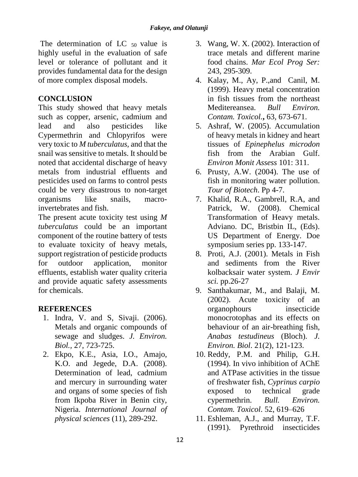The determination of LC  $_{50}$  value is highly useful in the evaluation of safe level or tolerance of pollutant and it provides fundamental data for the design of more complex disposal models.

## **CONCLUSION**

This study showed that heavy metals such as copper, arsenic, cadmium and lead and also pesticides like Cypermethrin and Chlopyrifos were very toxic to *M tuberculatus,* and that the snail was sensitive to metals. It should be noted that accidental discharge of heavy metals from industrial effluents and pesticides used on farms to control pests could be very disastrous to non-target organisms like snails, macroinvertebrates and fish.

The present acute toxicity test using *M tuberculatus* could be an important component of the routine battery of tests to evaluate toxicity of heavy metals, support registration of pesticide products for outdoor application, monitor effluents, establish water quality criteria and provide aquatic safety assessments for chemicals.

## **REFERENCES**

- 1. Indra, V. and S, Sivaji. (2006). Metals and organic compounds of sewage and sludges. *J. Environ. Biol.,* 27, 723-725.
- 2. Ekpo, K.E., Asia, I.O., Amajo, K.O. and Jegede, D.A. (2008). Determination of lead, cadmium and mercury in surrounding water and organs of some species of fish from Ikpoba River in Benin city, Nigeria. *International Journal of physical sciences* (11), 289-292.
- 3. Wang, W. X. (2002). Interaction of trace metals and different marine food chains. *Mar Ecol Prog Ser:* 243*,* 295-309.
- 4. Kalay, M., Ay, P.,and Canil, M. (1999). Heavy metal concentration in fish tissues from the northeast Meditereansea. *Bull Environ. Contam. Toxicol.***,** 63*,* 673-671.
- 5. Ashraf, W. (2005). Accumulation of heavy metals in kidney and heart tissues of *Epinephelus microdon* fish from the Arabian Gulf. *Environ Monit Assess* 101: 311.
- 6. Prusty, A.W. (2004). The use of fish in monitoring water pollution. *Tour of Biotech*. Pp 4-7.
- 7. Khalid, R.A., Gambrell, R.A, and Patrick, W. (2008). Chemical Transformation of Heavy metals. Adviano. DC, Bristbin IL, (Eds). US Department of Energy. Doe symposium series pp. 133-147.
- 8. Proti, A.J. (2001). Metals in Fish and sediments from the River kolbacksair water system. *J Envir sci.* pp.26-27
- 9. Santhakumar, M., and Balaji, M. (2002). Acute toxicity of an organophours insecticide monocrotophas and its effects on behaviour of an air-breathing fish, *Anabas testudineus* (Bloch). *J. Environ. Biol*. 21(2), 121-123.
- 10. Reddy, P.M. and Philip, G.H. (1994). In vivo inhibition of AChE and ATPase activities in the tissue of freshwater fish, *Cyprinus carpio* exposed to technical grade cypermethrin. *Bull. Environ. Contam. Toxicol*. 52, 619–626
- 11. Eshleman, A.J., and Murray, T.F. (1991). Pyrethroid insecticides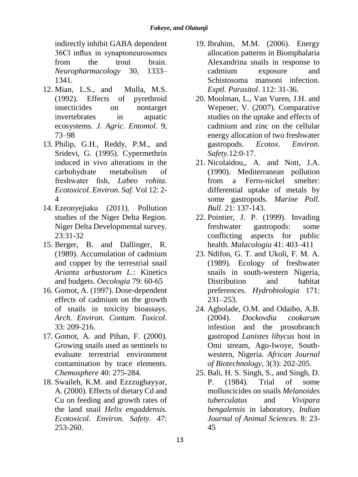indirectly inhibit GABA dependent 36Cl influx in synaptoneurosomes from the trout brain. *Neuropharmacology* 30, 1333– 1341.

- 12. Mian, L.S., and Mulla, M.S. (1992). Effects of pyrethroid insecticides on nontarget invertebrates in aquatic ecosystems. *J. Agric. Entomol*. 9, 73–98
- 13. Philip, G.H., Reddy, P.M., and Sridevi, G. (1995). Cypermethrin induced in vivo alterations in the carbohydrate metabolism of freshwater fish, *Labeo rohita. Ecotoxicol. Environ. Saf.* Vol 12: 2- 4
- 14. Ezeonyejiaku (2011). Pollution studies of the Niger Delta Region. Niger Delta Developmental survey. 23:31-32
- 15. Berger, B. and Dallinger, R. (1989). Accumulation of cadmium and copper by the terrestrial snail *Arianta arbustorum L*.: Kinetics and budgets. *Oecologia* 79: 60-65
- 16. Gomot, A. (1997). Dose-dependent effects of cadmium on the growth of snails in toxicity bioassays. *Arch. Environ. Contam. Toxicol*. 33: 209-216.
- 17. Gomot, A. and Pihan, F. (2000). Growing snails used as sentinels to evaluate terrestrial environment contamination by trace elements. *Chemosphere* 40: 275-284.
- 18. Swaileh, K.M. and Ezzzughayyar, A. (2000). Effects of dietary Cd and Cu on feeding and growth rates of the land snail *Helix engaddensis. Ecotoxicol. Environ. Safety*. 47: 253-260.
- 19. Ibrahim, M.M. (2006). Energy allocation patterns in Biomphalaria Alexandrina snails in response to cadmium exposure and Schistosoma mansoni infection. *Exptl. Parasitol*. 112: 31-36.
- 20. Moolman, L., Van Vuren, J.H. and Wepener, V. (2007). Comparative studies on the uptake and effects of cadmium and zinc on the cellular energy allocation of two freshwater gastropods. *Ecotox. Environ. Safety*.12:0-17.
- 21. Nicolaidou,, A. and Nott, J.A. (1990). Mediterranean pollution from a Ferro-nickel smelter: differential uptake of metals by some gastropods*. Marine Poll. Bull*. 21: 137-143.
- 22. Pointier, J. P. (1999). Invading freshwater gastropods: some conflicting aspects for public health. *Malacologia* 41: 403–411
- 23. Ndifon, G. T. and Ukoli, F. M. A. (1989). Ecology of freshwater snails in south-western Nigeria, Distribution and habitat preferences. *Hydrobiologia* 171: 231–253.
- 24. Agbolade, O.M. and Odaibo, A.B. (2004). *Dockovdia cookarum* infestion and the prosobranch gastropod *Lanistes libycus* host in Omi stream, Ago-Iwoye, Southwestern, Nigeria. *African Journal of Biotechnology*, 3(3): 202-205.
- 25. Bali, H. S. Singh, S., and Singh, D. P. (1984). Trial of some molluscicides on snails *Melanoides tuberculatus* and *Vivipara bengalensis* in laboratory, *Indian Journal of Animal Sciences*. 8: 23- 45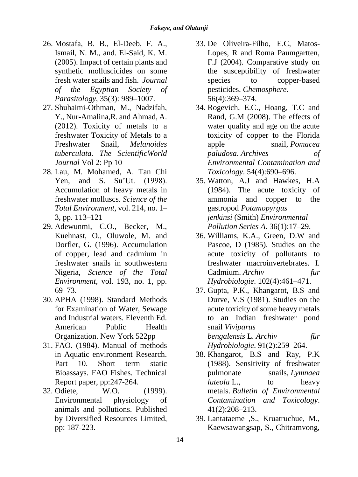- 26. Mostafa, B. B., El-Deeb, F. A., Ismail, N. M., and. El-Said, K. M. (2005). Impact of certain plants and synthetic molluscicides on some fresh water snails and fish. *Journal of the Egyptian Society of Parasitology*, 35(3): 989–1007.
- 27. Shuhaimi-Othman, M., Nadzifah, Y., Nur-Amalina,R. and Ahmad, A. (2012). Toxicity of metals to a freshwater Toxicity of Metals to a Freshwater Snail, *Melanoides tuberculata. The ScientificWorld Journal* Vol 2: Pp 10
- 28. Lau, M. Mohamed, A. Tan Chi Yen, and S. Su'Ut. (1998). Accumulation of heavy metals in freshwater molluscs. *Science of the Total Environment*, vol. 214, no. 1– 3, pp. 113–121
- 29. Adewunmi, C.O., Becker, M., Kuehnast, O., Oluwole, M. and Dorfler, G. (1996). Accumulation of copper, lead and cadmium in freshwater snails in southwestern Nigeria, *Science of the Total Environment*, vol. 193, no. 1, pp. 69–73.
- 30. APHA (1998). Standard Methods for Examination of Water, Sewage and Industrial waters. Eleventh Ed. American Public Health Organization. New York 522pp
- 31. FAO. (1984). Manual of methods in Aquatic environment Research. Part 10. Short term static Bioassays. FAO Fishes. Technical Report paper, pp:247-264.
- 32. Odiete, W.O. (1999). Environmental physiology of animals and pollutions. Published by Diversified Resources Limited, pp: 187-223.
- 33. De Oliveira-Filho, E.C, Matos-Lopes, R and Roma Paumgartten, F.J (2004). Comparative study on the susceptibility of freshwater species to copper-based pesticides. *Chemosphere*. 56(4):369–374.
- 34. Rogevich, E.C., Hoang, T.C and Rand, G.M (2008). The effects of water quality and age on the acute toxicity of copper to the Florida apple snail, *Pomacea paludosa*. *Archives of Environmental Contamination and Toxicology*. 54(4):690–696.
- 35. Watton, A.J and Hawkes, H.A (1984). The acute toxicity of ammonia and copper to the gastropod *Potamopyrgus jenkinsi* (Smith) *Environmental Pollution Series A*. 36(1):17–29.
- 36. Williams, K.A., Green, D.W and Pascoe, D (1985). Studies on the acute toxicity of pollutants to freshwater macroinvertebrates. I. Cadmium. *Archiv fur Hydrobiologie*. 102(4):461–471.
- 37. Gupta, P.K., Khangarot, B.S and Durve, V.S (1981). Studies on the acute toxicity of some heavy metals to an Indian freshwater pond snail *Viviparus bengalensis* L. *Archiv für Hydrobiologie*. 91(2):259–264.
- 38. Khangarot, B.S and Ray, P.K (1988). Sensitivity of freshwater pulmonate snails, *Lymnaea luteola* L., to heavy metals. *Bulletin of Environmental Contamination and Toxicology*. 41(2):208–213.
- 39. Lantataeme ,S., Kruatruchue, M., Kaewsawangsap, S., Chitramvong,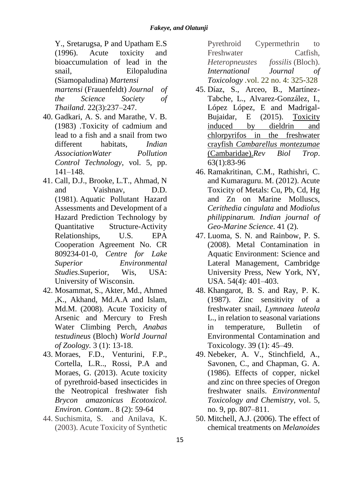Y., Sretarugsa, P and Upatham E.S (1996). Acute toxicity and bioaccumulation of lead in the snail, Eilopaludina (Siamopaludina) *Martensi martensi* (Frauenfeldt) *Journal of the Science Society of Thailand*. 22(3):237–247.

- 40. Gadkari, A. S. and Marathe, V. B. (1983) .Toxicity of cadmium and lead to a fish and a snail from two different habitats, *Indian AssociationWater Pollution Control Technology*, vol. 5, pp. 141–148.
- 41. Call, D.J., Brooke, L.T., Ahmad, N and Vaishnav, D.D. (1981). Aquatic Pollutant Hazard Assessments and Development of a Hazard Prediction Technology by Quantitative Structure-Activity Relationships, U.S*.* EPA Cooperation Agreement No. CR 809234-01-0, *Centre for Lake Superior Environmental Studies*.Superior, Wis, USA: University of Wisconsin.
- 42. Mosammat, S., Akter, Md., Ahmed ,K., Akhand, Md.A.A and Islam, Md.M. (2008). Acute Toxicity of Arsenic and Mercury to Fresh Water Climbing Perch, *Anabas testudineus* (Bloch) *World Journal of Zoology.* 3 (1): 13-18.
- 43. Moraes, F.D., Venturini, F.P., Cortella, L.R.., Rossi, P.A and Moraes, G. (2013). Acute toxicity of pyrethroid-based insecticides in the Neotropical freshwater fish *Brycon amazonicus Ecotoxicol. Environ. Contam*.. 8 (2): 59-64
- 44. [Suchismita, S.](http://ijt.sagepub.com/search?author1=Suchismita+Saha&sortspec=date&submit=Submit) and [Anilava, K.](http://ijt.sagepub.com/search?author1=Anilava+Kaviraj&sortspec=date&submit=Submit)  (2003). Acute Toxicity of Synthetic

Pyrethroid Cypermethrin to Freshwater Catfish, *Heteropneustes fossilis* (Bloch). *International Journal of Toxicology .*vol. 22 no. 4: 325-328

- 45. Díaz, S., Arceo, B., Martínez-Tabche, L., Alvarez-González, I., López López, E and Madrigal-Bujaidar, E (2015). [Toxicity](http://www.ncbi.nlm.nih.gov/pubmed/26299117)  [induced by dieldrin and](http://www.ncbi.nlm.nih.gov/pubmed/26299117)  [chlorpyrifos in the freshwater](http://www.ncbi.nlm.nih.gov/pubmed/26299117)  crayfish *[Cambarellus montezumae](http://www.ncbi.nlm.nih.gov/pubmed/26299117)* [\(Cambaridae\).](http://www.ncbi.nlm.nih.gov/pubmed/26299117)*Rev Biol Trop*. 63(1):83-96
- 46. Ramakritinan, C.M., Rathishri, C. and Kumaraguru. M. (2012). Acute Toxicity of Metals: Cu, Pb, Cd, Hg and Zn on Marine Molluscs, *Cerithedia cingulata* and *Modiolus philippinarum. Indian journal of Geo-Marine Science*. 41 (2).
- 47. Luoma, S. N. and Rainbow, P. S. (2008). Metal Contamination in Aquatic Environment: Science and Lateral Management, Cambridge University Press, New York, NY, USA. 54(4): 401–403.
- 48. Khangarot, B. S. and Ray, P. K. (1987). Zinc sensitivity of a freshwater snail, *Lymnaea luteola*  L., in relation to seasonal variations in temperature, Bulletin of Environmental Contamination and Toxicology. 39 (1): 45–49.
- 49. Nebeker, A. V., Stinchfield, A., Savonen, C., and Chapman, G. A. (1986). Effects of copper, nickel and zinc on three species of Oregon freshwater snails. *Environmental Toxicology and Chemistry*, vol. 5, no. 9, pp. 807–811.
- 50. Mitchell, A.J. (2006). The effect of chemical treatments on *Melanoides*